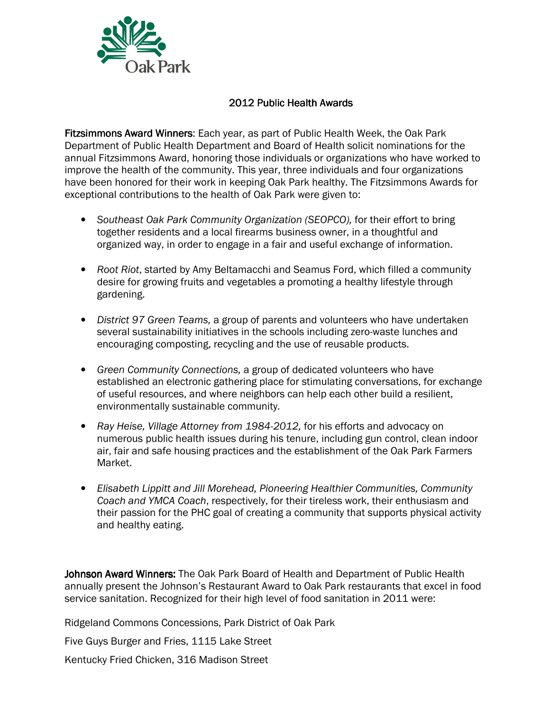

## 2012 Public Health Awards

Fitzsimmons Award Winners: Each year, as part of Public Health Week, the Oak Park Department of Public Health Department and Board of Health solicit nominations for the annual Fitzsimmons Award, honoring those individuals or organizations who have worked to improve the health of the community. This year, three individuals and four organizations have been honored for their work in keeping Oak Park healthy. The Fitzsimmons Awards for exceptional contributions to the health of Oak Park were given to:

- Southeast Oak Park Community Organization (SEOPCO), for their effort to bring together residents and a local firearms business owner, in a thoughtful and organized way, in order to engage in a fair and useful exchange of information.
- Root Riot, started by Amy Beltamacchi and Seamus Ford, which filled a community desire for growing fruits and vegetables a promoting a healthy lifestyle through gardening.
- District 97 Green Teams, a group of parents and volunteers who have undertaken several sustainability initiatives in the schools including zero-waste lunches and encouraging composting, recycling and the use of reusable products.
- Green Community Connections, a group of dedicated volunteers who have established an electronic gathering place for stimulating conversations, for exchange of useful resources, and where neighbors can help each other build a resilient, environmentally sustainable community.
- Ray Heise, Village Attorney from 1984-2012, for his efforts and advocacy on numerous public health issues during his tenure, including gun control, clean indoor air, fair and safe housing practices and the establishment of the Oak Park Farmers Market.
- Elisabeth Lippitt and Jill Morehead, Pioneering Healthier Communities, Community Coach and YMCA Coach, respectively, for their tireless work, their enthusiasm and their passion for the PHC goal of creating a community that supports physical activity and healthy eating.

Johnson Award Winners: The Oak Park Board of Health and Department of Public Health annually present the Johnson's Restaurant Award to Oak Park restaurants that excel in food service sanitation. Recognized for their high level of food sanitation in 2011 were:

Ridgeland Commons Concessions, Park District of Oak Park

Five Guys Burger and Fries, 1115 Lake Street

Kentucky Fried Chicken, 316 Madison Street